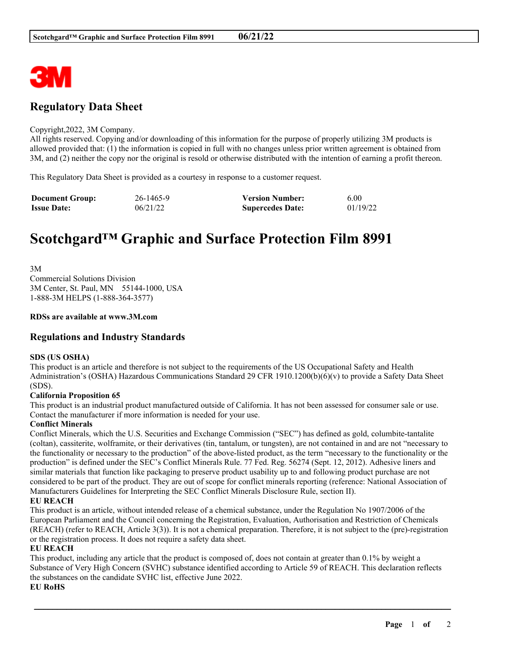

# **Regulatory Data Sheet**

#### Copyright,2022, 3M Company.

All rights reserved. Copying and/or downloading of this information for the purpose of properly utilizing 3M products is allowed provided that: (1) the information is copied in full with no changes unless prior written agreement is obtained from 3M, and (2) neither the copy nor the original is resold or otherwise distributed with the intention of earning a profit thereon.

This Regulatory Data Sheet is provided as a courtesy in response to a customer request.

| <b>Document Group:</b> | 26-1465-9 | <b>Version Number:</b>  | 6.00     |
|------------------------|-----------|-------------------------|----------|
| <b>Issue Date:</b>     | 06/21/22  | <b>Supercedes Date:</b> | 01/19/22 |

# **Scotchgard™ Graphic and Surface Protection Film 8991**

3M Commercial Solutions Division 3M Center, St. Paul, MN 55144-1000, USA 1-888-3M HELPS (1-888-364-3577)

#### **RDSs are available at www.3M.com**

# **Regulations and Industry Standards**

#### **SDS (US OSHA)**

This product is an article and therefore is not subject to the requirements of the US Occupational Safety and Health Administration's (OSHA) Hazardous Communications Standard 29 CFR 1910.1200(b)(6)(v) to provide a Safety Data Sheet (SDS).

#### **California Proposition 65**

This product is an industrial product manufactured outside of California. It has not been assessed for consumer sale or use. Contact the manufacturer if more information is needed for your use.

#### **Conflict Minerals**

Conflict Minerals, which the U.S. Securities and Exchange Commission ("SEC") has defined as gold, columbite-tantalite (coltan), cassiterite, wolframite, or their derivatives (tin, tantalum, or tungsten), are not contained in and are not "necessary to the functionality or necessary to the production" of the above-listed product, as the term "necessary to the functionality or the production" is defined under the SEC's Conflict Minerals Rule. 77 Fed. Reg. 56274 (Sept. 12, 2012). Adhesive liners and similar materials that function like packaging to preserve product usability up to and following product purchase are not considered to be part of the product. They are out of scope for conflict minerals reporting (reference: National Association of Manufacturers Guidelines for Interpreting the SEC Conflict Minerals Disclosure Rule, section II).

# **EU REACH**

This product is an article, without intended release of a chemical substance, under the Regulation No 1907/2006 of the European Parliament and the Council concerning the Registration, Evaluation, Authorisation and Restriction of Chemicals (REACH) (refer to REACH, Article 3(3)). It is not a chemical preparation. Therefore, it is not subject to the (pre)-registration or the registration process. It does not require a safety data sheet.

# **EU REACH**

This product, including any article that the product is composed of, does not contain at greater than 0.1% by weight a Substance of Very High Concern (SVHC) substance identified according to Article 59 of REACH. This declaration reflects the substances on the candidate SVHC list, effective June 2022.

\_\_\_\_\_\_\_\_\_\_\_\_\_\_\_\_\_\_\_\_\_\_\_\_\_\_\_\_\_\_\_\_\_\_\_\_\_\_\_\_\_\_\_\_\_\_\_\_\_\_\_\_\_\_\_\_\_\_\_\_\_\_\_\_\_\_\_\_\_\_\_\_\_\_\_\_\_\_\_\_\_\_\_\_\_\_\_\_\_\_

### **EU RoHS**